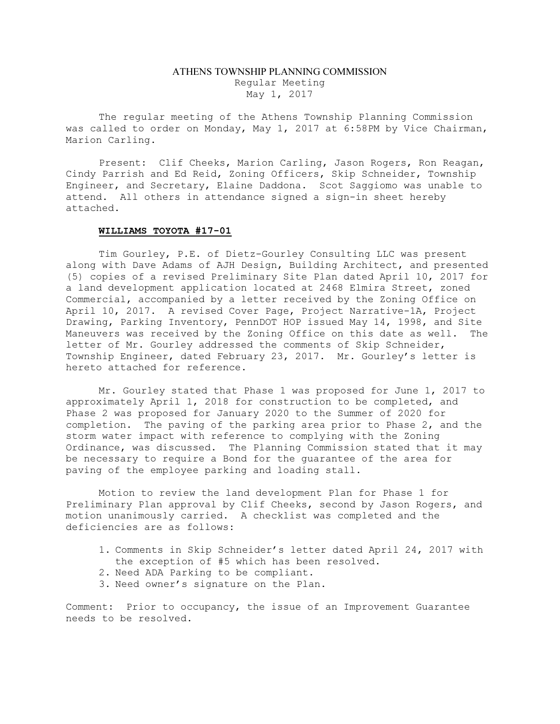## ATHENS TOWNSHIP PLANNING COMMISSION Regular Meeting May 1, 2017

The regular meeting of the Athens Township Planning Commission was called to order on Monday, May 1, 2017 at 6:58PM by Vice Chairman, Marion Carling.

Present: Clif Cheeks, Marion Carling, Jason Rogers, Ron Reagan, Cindy Parrish and Ed Reid, Zoning Officers, Skip Schneider, Township Engineer, and Secretary, Elaine Daddona. Scot Saggiomo was unable to attend. All others in attendance signed a sign-in sheet hereby attached.

## WILLIAMS TOYOTA #17-01

Tim Gourley, P.E. of Dietz-Gourley Consulting LLC was present along with Dave Adams of AJH Design, Building Architect, and presented (5) copies of a revised Preliminary Site Plan dated April 10, 2017 for a land development application located at 2468 Elmira Street, zoned Commercial, accompanied by a letter received by the Zoning Office on April 10, 2017. A revised Cover Page, Project Narrative-1A, Project Drawing, Parking Inventory, PennDOT HOP issued May 14, 1998, and Site Maneuvers was received by the Zoning Office on this date as well. The letter of Mr. Gourley addressed the comments of Skip Schneider, Township Engineer, dated February 23, 2017. Mr. Gourley's letter is hereto attached for reference.

Mr. Gourley stated that Phase 1 was proposed for June 1, 2017 to approximately April 1, 2018 for construction to be completed, and Phase 2 was proposed for January 2020 to the Summer of 2020 for completion. The paving of the parking area prior to Phase 2, and the storm water impact with reference to complying with the Zoning Ordinance, was discussed. The Planning Commission stated that it may be necessary to require a Bond for the guarantee of the area for paving of the employee parking and loading stall.

Motion to review the land development Plan for Phase 1 for Preliminary Plan approval by Clif Cheeks, second by Jason Rogers, and motion unanimously carried. A checklist was completed and the deficiencies are as follows:

- 1. Comments in Skip Schneider's letter dated April 24, 2017 with the exception of #5 which has been resolved.
- 2. Need ADA Parking to be compliant.
- 3. Need owner's signature on the Plan.

Comment: Prior to occupancy, the issue of an Improvement Guarantee needs to be resolved.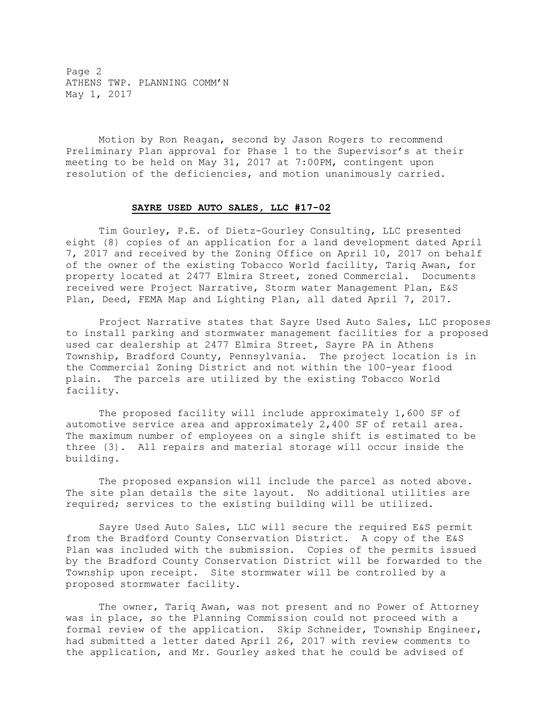Page 2 ATHENS TWP. PLANNING COMM'N May 1, 2017

 Motion by Ron Reagan, second by Jason Rogers to recommend Preliminary Plan approval for Phase 1 to the Supervisor's at their meeting to be held on May 31, 2017 at 7:00PM, contingent upon resolution of the deficiencies, and motion unanimously carried.

## SAYRE USED AUTO SALES, LLC #17-02

 Tim Gourley, P.E. of Dietz-Gourley Consulting, LLC presented eight (8) copies of an application for a land development dated April 7, 2017 and received by the Zoning Office on April 10, 2017 on behalf of the owner of the existing Tobacco World facility, Tariq Awan, for property located at 2477 Elmira Street, zoned Commercial. Documents received were Project Narrative, Storm water Management Plan, E&S Plan, Deed, FEMA Map and Lighting Plan, all dated April 7, 2017.

 Project Narrative states that Sayre Used Auto Sales, LLC proposes to install parking and stormwater management facilities for a proposed used car dealership at 2477 Elmira Street, Sayre PA in Athens Township, Bradford County, Pennsylvania. The project location is in the Commercial Zoning District and not within the 100-year flood plain. The parcels are utilized by the existing Tobacco World facility.

 The proposed facility will include approximately 1,600 SF of automotive service area and approximately 2,400 SF of retail area. The maximum number of employees on a single shift is estimated to be three (3). All repairs and material storage will occur inside the building.

 The proposed expansion will include the parcel as noted above. The site plan details the site layout. No additional utilities are required; services to the existing building will be utilized.

 Sayre Used Auto Sales, LLC will secure the required E&S permit from the Bradford County Conservation District. A copy of the E&S Plan was included with the submission. Copies of the permits issued by the Bradford County Conservation District will be forwarded to the Township upon receipt. Site stormwater will be controlled by a proposed stormwater facility.

 The owner, Tariq Awan, was not present and no Power of Attorney was in place, so the Planning Commission could not proceed with a formal review of the application. Skip Schneider, Township Engineer, had submitted a letter dated April 26, 2017 with review comments to the application, and Mr. Gourley asked that he could be advised of